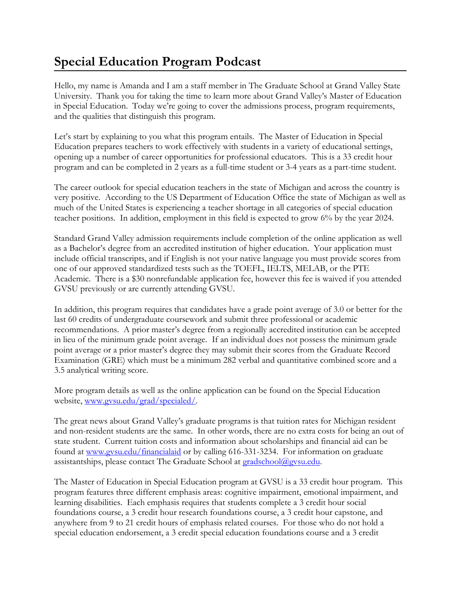## **Special Education Program Podcast**

Hello, my name is Amanda and I am a staff member in The Graduate School at Grand Valley State University. Thank you for taking the time to learn more about Grand Valley's Master of Education in Special Education. Today we're going to cover the admissions process, program requirements, and the qualities that distinguish this program.

Let's start by explaining to you what this program entails. The Master of Education in Special Education prepares teachers to work effectively with students in a variety of educational settings, opening up a number of career opportunities for professional educators. This is a 33 credit hour program and can be completed in 2 years as a full-time student or 3-4 years as a part-time student.

The career outlook for special education teachers in the state of Michigan and across the country is very positive. According to the US Department of Education Office the state of Michigan as well as much of the United States is experiencing a teacher shortage in all categories of special education teacher positions. In addition, employment in this field is expected to grow 6% by the year 2024.

Standard Grand Valley admission requirements include completion of the online application as well as a Bachelor's degree from an accredited institution of higher education. Your application must include official transcripts, and if English is not your native language you must provide scores from one of our approved standardized tests such as the TOEFL, IELTS, MELAB, or the PTE Academic. There is a \$30 nonrefundable application fee, however this fee is waived if you attended GVSU previously or are currently attending GVSU.

In addition, this program requires that candidates have a grade point average of 3.0 or better for the last 60 credits of undergraduate coursework and submit three professional or academic recommendations. A prior master's degree from a regionally accredited institution can be accepted in lieu of the minimum grade point average. If an individual does not possess the minimum grade point average or a prior master's degree they may submit their scores from the Graduate Record Examination (GRE) which must be a minimum 282 verbal and quantitative combined score and a 3.5 analytical writing score.

More program details as well as the online application can be found on the Special Education website, [www.gvsu.edu/grad/specialed/.](http://www.gvsu.edu/grad/specialed/)

The great news about Grand Valley's graduate programs is that tuition rates for Michigan resident and non-resident students are the same. In other words, there are no extra costs for being an out of state student. Current tuition costs and information about scholarships and financial aid can be found at [www.gvsu.edu/financialaid](http://www.gvsu.edu/financialaid) or by calling 616-331-3234. For information on graduate assistantships, please contact The Graduate School at **gradschool@gvsu.edu**.

The Master of Education in Special Education program at GVSU is a 33 credit hour program. This program features three different emphasis areas: cognitive impairment, emotional impairment, and learning disabilities. Each emphasis requires that students complete a 3 credit hour social foundations course, a 3 credit hour research foundations course, a 3 credit hour capstone, and anywhere from 9 to 21 credit hours of emphasis related courses. For those who do not hold a special education endorsement, a 3 credit special education foundations course and a 3 credit